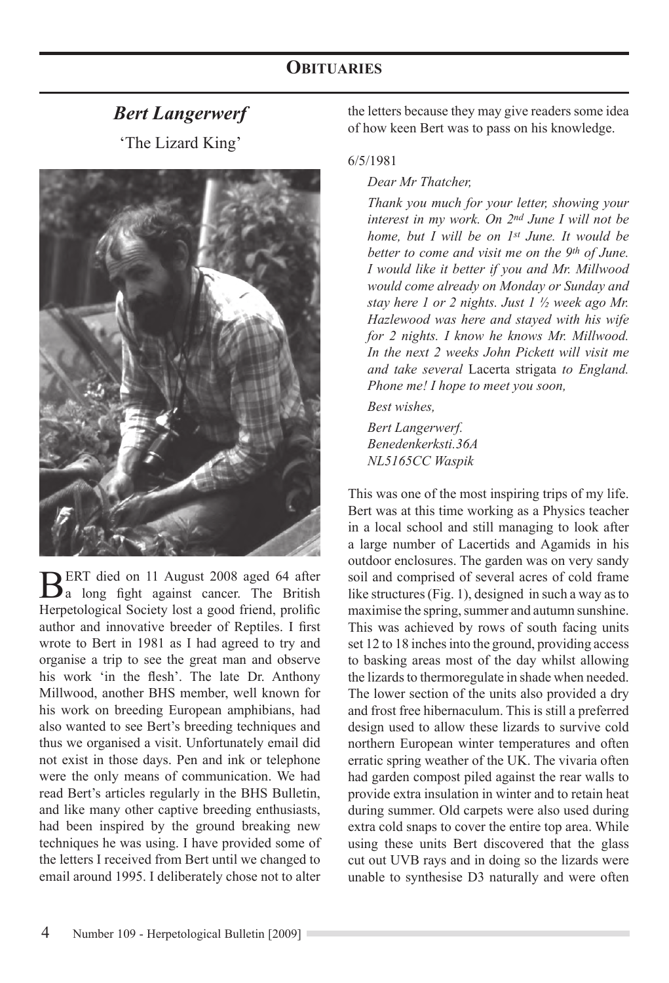# *Bert Langerwerf*

'The Lizard King'



BERT died on 11 August 2008 aged 64 after<br>a long fight against cancer. The British Herpetological Society lost a good friend, prolific author and innovative breeder of Reptiles. I first wrote to Bert in 1981 as I had agreed to try and organise a trip to see the great man and observe his work 'in the flesh'. The late Dr. Anthony Millwood, another BHS member, well known for his work on breeding European amphibians, had also wanted to see Bert's breeding techniques and thus we organised a visit. Unfortunately email did not exist in those days. Pen and ink or telephone were the only means of communication. We had read Bert's articles regularly in the BHS Bulletin, and like many other captive breeding enthusiasts, had been inspired by the ground breaking new techniques he was using. I have provided some of the letters I received from Bert until we changed to email around 1995. I deliberately chose not to alter

the letters because they may give readers some idea of how keen Bert was to pass on his knowledge.

### 6/5/1981

*Dear Mr Thatcher,*

*Thank you much for your letter, showing your interest in my work. On 2nd June I will not be home, but I will be on 1st June. It would be better to come and visit me on the 9th of June. I would like it better if you and Mr. Millwood would come already on Monday or Sunday and stay here 1 or 2 nights. Just 1 ½ week ago Mr. Hazlewood was here and stayed with his wife for 2 nights. I know he knows Mr. Millwood. In the next 2 weeks John Pickett will visit me and take several* Lacerta strigata *to England. Phone me! I hope to meet you soon,*

*Best wishes,*

*Bert Langerwerf. Benedenkerksti.36A NL5165CC Waspik*

This was one of the most inspiring trips of my life. Bert was at this time working as a Physics teacher in a local school and still managing to look after a large number of Lacertids and Agamids in his outdoor enclosures. The garden was on very sandy soil and comprised of several acres of cold frame like structures (Fig. 1), designed in such a way as to maximise the spring, summer and autumn sunshine. This was achieved by rows of south facing units set 12 to 18 inches into the ground, providing access to basking areas most of the day whilst allowing the lizards to thermoregulate in shade when needed. The lower section of the units also provided a dry and frost free hibernaculum. This is still a preferred design used to allow these lizards to survive cold northern European winter temperatures and often erratic spring weather of the UK. The vivaria often had garden compost piled against the rear walls to provide extra insulation in winter and to retain heat during summer. Old carpets were also used during extra cold snaps to cover the entire top area. While using these units Bert discovered that the glass cut out UVB rays and in doing so the lizards were unable to synthesise D3 naturally and were often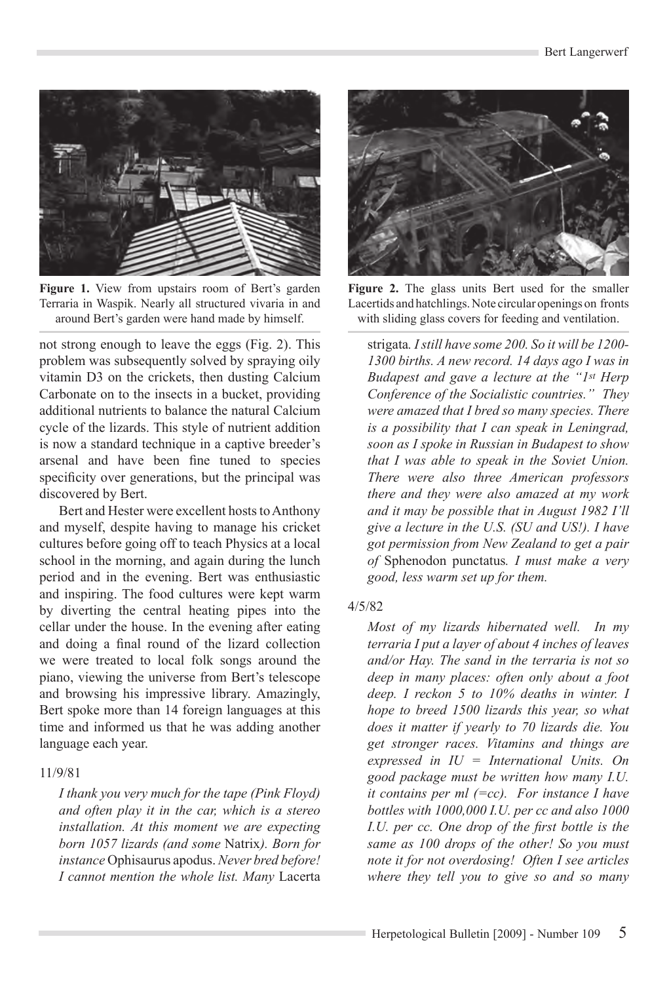

**Figure 1.** View from upstairs room of Bert's garden Terraria in Waspik. Nearly all structured vivaria in and around Bert's garden were hand made by himself.

not strong enough to leave the eggs (Fig. 2). This problem was subsequently solved by spraying oily vitamin D3 on the crickets, then dusting Calcium Carbonate on to the insects in a bucket, providing additional nutrients to balance the natural Calcium cycle of the lizards. This style of nutrient addition is now a standard technique in a captive breeder's arsenal and have been fine tuned to species specificity over generations, but the principal was discovered by Bert.

Bert and Hester were excellent hosts to Anthony and myself, despite having to manage his cricket cultures before going off to teach Physics at a local school in the morning, and again during the lunch period and in the evening. Bert was enthusiastic and inspiring. The food cultures were kept warm by diverting the central heating pipes into the cellar under the house. In the evening after eating and doing a final round of the lizard collection we were treated to local folk songs around the piano, viewing the universe from Bert's telescope and browsing his impressive library. Amazingly, Bert spoke more than 14 foreign languages at this time and informed us that he was adding another language each year.

## 11/9/81

*I thank you very much for the tape (Pink Floyd) and often play it in the car, which is a stereo installation. At this moment we are expecting born 1057 lizards (and some* Natrix*). Born for instance* Ophisaurus apodus. *Never bred before! I cannot mention the whole list. Many* Lacerta

![](_page_1_Picture_7.jpeg)

**Figure 2.** The glass units Bert used for the smaller Lacertids and hatchlings. Note circular openings on fronts with sliding glass covers for feeding and ventilation.

strigata*. I still have some 200. So it will be 1200- 1300 births. A new record. 14 days ago I was in Budapest and gave a lecture at the "1st Herp Conference of the Socialistic countries." They were amazed that I bred so many species. There is a possibility that I can speak in Leningrad, soon as I spoke in Russian in Budapest to show that I was able to speak in the Soviet Union. There were also three American professors there and they were also amazed at my work and it may be possible that in August 1982 I'll give a lecture in the U.S. (SU and US!). I have got permission from New Zealand to get a pair of* Sphenodon punctatus*. I must make a very good, less warm set up for them.*

## 4/5/82

*Most of my lizards hibernated well. In my terraria I put a layer of about 4 inches of leaves and/or Hay. The sand in the terraria is not so deep in many places: often only about a foot deep. I reckon 5 to 10% deaths in winter. I hope to breed 1500 lizards this year, so what does it matter if yearly to 70 lizards die. You get stronger races. Vitamins and things are expressed in IU = International Units. On good package must be written how many I.U. it contains per ml (=cc). For instance I have bottles with 1000,000 I.U. per cc and also 1000 I.U. per cc. One drop of the first bottle is the same as 100 drops of the other! So you must note it for not overdosing! Often I see articles where they tell you to give so and so many*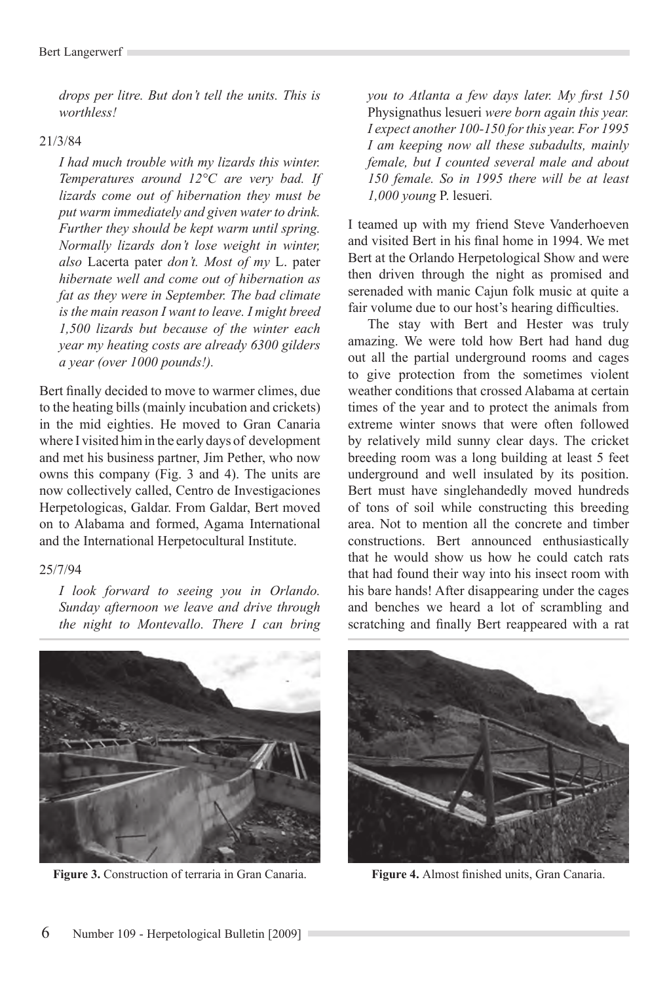*drops per litre. But don't tell the units. This is worthless!*

#### 21/3/84

*I had much trouble with my lizards this winter. Temperatures around 12°C are very bad. If lizards come out of hibernation they must be put warm immediately and given water to drink. Further they should be kept warm until spring. Normally lizards don't lose weight in winter, also* Lacerta pater *don't. Most of my* L. pater *hibernate well and come out of hibernation as fat as they were in September. The bad climate is the main reason I want to leave. I might breed 1,500 lizards but because of the winter each year my heating costs are already 6300 gilders a year (over 1000 pounds!).* 

Bert finally decided to move to warmer climes, due to the heating bills (mainly incubation and crickets) in the mid eighties. He moved to Gran Canaria where I visited him in the early days of development and met his business partner, Jim Pether, who now owns this company (Fig. 3 and 4). The units are now collectively called, Centro de Investigaciones Herpetologicas, Galdar. From Galdar, Bert moved on to Alabama and formed, Agama International and the International Herpetocultural Institute.

## 25/7/94

*I look forward to seeing you in Orlando. Sunday afternoon we leave and drive through the night to Montevallo. There I can bring* 

![](_page_2_Picture_7.jpeg)

**Figure 3.** Construction of terraria in Gran Canaria. **Figure 4.** Almost finished units, Gran Canaria.

*you to Atlanta a few days later. My first 150*  Physignathus lesueri *were born again this year. I expect another 100-150 for this year. For 1995 I am keeping now all these subadults, mainly female, but I counted several male and about 150 female. So in 1995 there will be at least 1,000 young* P. lesueri*.*

I teamed up with my friend Steve Vanderhoeven and visited Bert in his final home in 1994. We met Bert at the Orlando Herpetological Show and were then driven through the night as promised and serenaded with manic Cajun folk music at quite a fair volume due to our host's hearing difficulties.

The stay with Bert and Hester was truly amazing. We were told how Bert had hand dug out all the partial underground rooms and cages to give protection from the sometimes violent weather conditions that crossed Alabama at certain times of the year and to protect the animals from extreme winter snows that were often followed by relatively mild sunny clear days. The cricket breeding room was a long building at least 5 feet underground and well insulated by its position. Bert must have singlehandedly moved hundreds of tons of soil while constructing this breeding area. Not to mention all the concrete and timber constructions. Bert announced enthusiastically that he would show us how he could catch rats that had found their way into his insect room with his bare hands! After disappearing under the cages and benches we heard a lot of scrambling and scratching and finally Bert reappeared with a rat

![](_page_2_Picture_12.jpeg)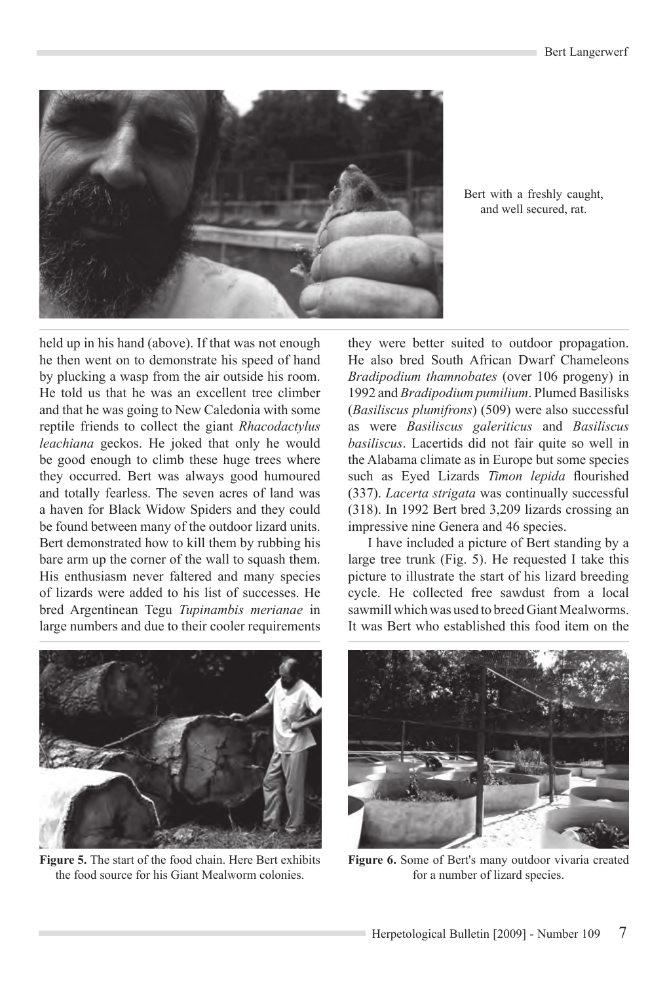![](_page_3_Picture_1.jpeg)

Bert with a freshly caught, and well secured, rat.

held up in his hand (above). If that was not enough he then went on to demonstrate his speed of hand by plucking a wasp from the air outside his room. He told us that he was an excellent tree climber and that he was going to New Caledonia with some reptile friends to collect the giant *Rhacodactylus leachiana* geckos. He joked that only he would be good enough to climb these huge trees where they occurred. Bert was always good humoured and totally fearless. The seven acres of land was a haven for Black Widow Spiders and they could be found between many of the outdoor lizard units. Bert demonstrated how to kill them by rubbing his bare arm up the corner of the wall to squash them. His enthusiasm never faltered and many species of lizards were added to his list of successes. He bred Argentinean Tegu *Tupinambis merianae* in large numbers and due to their cooler requirements

![](_page_3_Picture_4.jpeg)

**Figure 5.** The start of the food chain. Here Bert exhibits the food source for his Giant Mealworm colonies.

they were better suited to outdoor propagation. He also bred South African Dwarf Chameleons *Bradipodium thamnobates* (over 106 progeny) in 1992 and *Bradipodium pumilium*. Plumed Basilisks (*Basiliscus plumifrons*) (509) were also successful as were *Basiliscus galeriticus* and *Basiliscus basiliscus*. Lacertids did not fair quite so well in the Alabama climate as in Europe but some species such as Eyed Lizards *Timon lepida* flourished (337). *Lacerta strigata* was continually successful (318). In 1992 Bert bred 3,209 lizards crossing an impressive nine Genera and 46 species.

I have included a picture of Bert standing by a large tree trunk (Fig. 5). He requested I take this picture to illustrate the start of his lizard breeding cycle. He collected free sawdust from a local sawmill which was used to breed Giant Mealworms. It was Bert who established this food item on the

![](_page_3_Picture_8.jpeg)

**Figure 6.** Some of Bert's many outdoor vivaria created for a number of lizard species.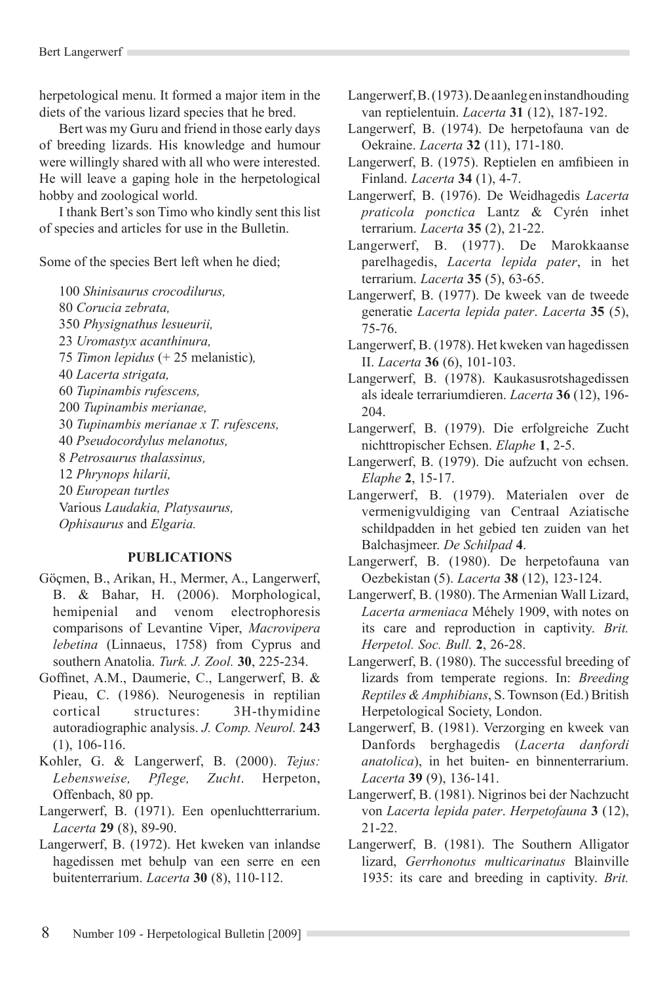herpetological menu. It formed a major item in the diets of the various lizard species that he bred.

Bert was my Guru and friend in those early days of breeding lizards. His knowledge and humour were willingly shared with all who were interested. He will leave a gaping hole in the herpetological hobby and zoological world.

I thank Bert's son Timo who kindly sent this list of species and articles for use in the Bulletin.

Some of the species Bert left when he died;

*Shinisaurus crocodilurus, Corucia zebrata, Physignathus lesueurii, Uromastyx acanthinura, Timon lepidus* (+ 25 melanistic)*, Lacerta strigata, Tupinambis rufescens, Tupinambis merianae, Tupinambis merianae x T. rufescens, Pseudocordylus melanotus, Petrosaurus thalassinus, Phrynops hilarii, European turtles* Various *Laudakia, Platysaurus, Ophisaurus* and *Elgaria.*

## **publications**

- Göçmen, B., Arikan, H., Mermer, A., Langerwerf, B. & Bahar, H. (2006). Morphological, hemipenial and venom electrophoresis comparisons of Levantine Viper, *Macrovipera lebetina* (Linnaeus, 1758) from Cyprus and southern Anatolia. *Turk. J. Zool.* **30**, 225-234.
- Goffinet, A.M., Daumerie, C., Langerwerf, B. & Pieau, C. (1986). Neurogenesis in reptilian cortical structures: 3H-thymidine autoradiographic analysis. *J. Comp. Neurol.* **243**  (1), 106-116.
- Kohler, G. & Langerwerf, B. (2000). *Tejus: Lebensweise, Pflege, Zucht*. Herpeton, Offenbach, 80 pp.
- Langerwerf, B. (1971). Een openluchtterrarium. *Lacerta* **29** (8), 89-90.
- Langerwerf, B. (1972). Het kweken van inlandse hagedissen met behulp van een serre en een buitenterrarium. *Lacerta* **30** (8), 110-112.
- Langerwerf, B. (1973). De aanleg en instandhouding van reptielentuin. *Lacerta* **31** (12), 187-192.
- Langerwerf, B. (1974). De herpetofauna van de Oekraine. *Lacerta* **32** (11), 171-180.
- Langerwerf, B. (1975). Reptielen en amfibieen in Finland. *Lacerta* **34** (1), 4-7.
- Langerwerf, B. (1976). De Weidhagedis *Lacerta praticola ponctica* Lantz & Cyrén inhet terrarium. *Lacerta* **35** (2), 21-22.
- Langerwerf, B. (1977). De Marokkaanse parelhagedis, *Lacerta lepida pater*, in het terrarium. *Lacerta* **35** (5), 63-65.
- Langerwerf, B. (1977). De kweek van de tweede generatie *Lacerta lepida pater*. *Lacerta* **35** (5), 75-76.
- Langerwerf, B. (1978). Het kweken van hagedissen II. *Lacerta* **36** (6), 101-103.
- Langerwerf, B. (1978). Kaukasusrotshagedissen als ideale terrariumdieren. *Lacerta* **36** (12), 196- 204.
- Langerwerf, B. (1979). Die erfolgreiche Zucht nichttropischer Echsen. *Elaphe* **1**, 2-5.
- Langerwerf, B. (1979). Die aufzucht von echsen. *Elaphe* **2**, 15-17.
- Langerwerf, B. (1979). Materialen over de vermenigvuldiging van Centraal Aziatische schildpadden in het gebied ten zuiden van het Balchasjmeer. *De Schilpad* **4**.
- Langerwerf, B. (1980). De herpetofauna van Oezbekistan (5). *Lacerta* **38** (12), 123-124.
- Langerwerf, B. (1980). The Armenian Wall Lizard, *Lacerta armeniaca* Méhely 1909, with notes on its care and reproduction in captivity. *Brit. Herpetol. Soc. Bull.* **2**, 26-28.
- Langerwerf, B. (1980). The successful breeding of lizards from temperate regions. In: *Breeding Reptiles & Amphibians*, S. Townson (Ed.) British Herpetological Society, London.
- Langerwerf, B. (1981). Verzorging en kweek van Danfords berghagedis (*Lacerta danfordi anatolica*), in het buiten- en binnenterrarium. *Lacerta* **39** (9), 136-141.
- Langerwerf, B. (1981). Nigrinos bei der Nachzucht von *Lacerta lepida pater*. *Herpetofauna* **3** (12), 21-22.
- Langerwerf, B. (1981). The Southern Alligator lizard, *Gerrhonotus multicarinatus* Blainville 1935: its care and breeding in captivity. *Brit.*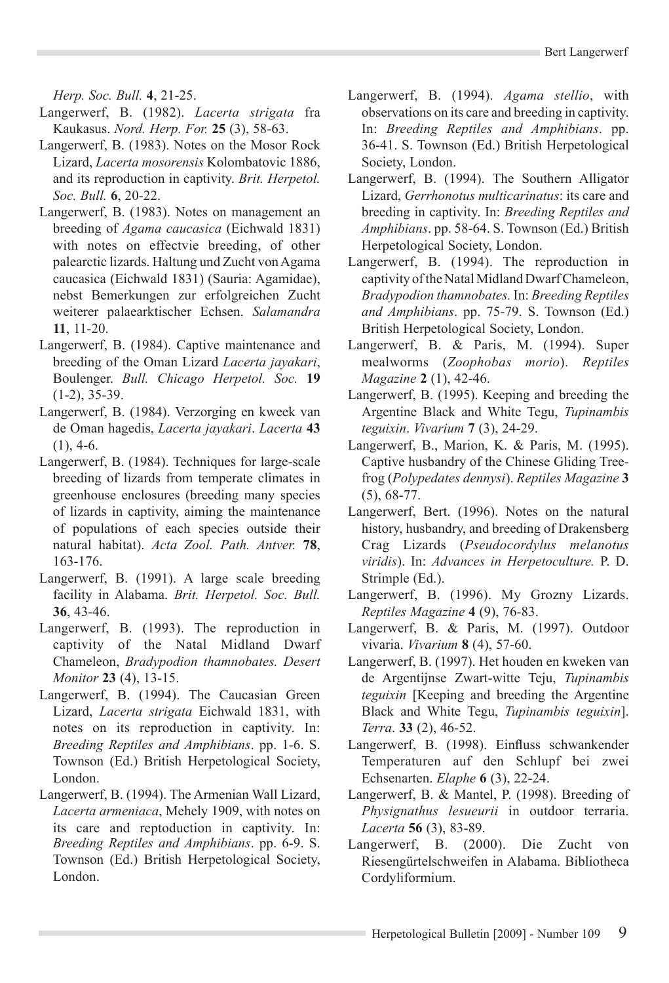*Herp. Soc. Bull.* **4**, 21-25.

- Langerwerf, B. (1982). *Lacerta strigata* fra Kaukasus. *Nord. Herp. For.* **25** (3), 58-63.
- Langerwerf, B. (1983). Notes on the Mosor Rock Lizard, *Lacerta mosorensis* Kolombatovic 1886, and its reproduction in captivity. *Brit. Herpetol. Soc. Bull.* **6**, 20-22.
- Langerwerf, B. (1983). Notes on management an breeding of *Agama caucasica* (Eichwald 1831) with notes on effectvie breeding, of other palearctic lizards. Haltung und Zucht von Agama caucasica (Eichwald 1831) (Sauria: Agamidae), nebst Bemerkungen zur erfolgreichen Zucht weiterer palaearktischer Echsen. *Salamandra* **11**, 11-20.
- Langerwerf, B. (1984). Captive maintenance and breeding of the Oman Lizard *Lacerta jayakari*, Boulenger. *Bull. Chicago Herpetol. Soc.* **19**  (1-2), 35-39.
- Langerwerf, B. (1984). Verzorging en kweek van de Oman hagedis, *Lacerta jayakari*. *Lacerta* **43**  $(1), 4-6.$
- Langerwerf, B. (1984). Techniques for large-scale breeding of lizards from temperate climates in greenhouse enclosures (breeding many species of lizards in captivity, aiming the maintenance of populations of each species outside their natural habitat). *Acta Zool. Path. Antver.* **78**, 163-176.
- Langerwerf, B. (1991). A large scale breeding facility in Alabama. *Brit. Herpetol. Soc. Bull.*  **36**, 43-46.
- Langerwerf, B. (1993). The reproduction in captivity of the Natal Midland Dwarf Chameleon, *Bradypodion thamnobates. Desert Monitor* **23** (4), 13-15.
- Langerwerf, B. (1994). The Caucasian Green Lizard, *Lacerta strigata* Eichwald 1831, with notes on its reproduction in captivity. In: *Breeding Reptiles and Amphibians*. pp. 1-6. S. Townson (Ed.) British Herpetological Society, London.
- Langerwerf, B. (1994). The Armenian Wall Lizard, *Lacerta armeniaca*, Mehely 1909, with notes on its care and reptoduction in captivity. In: *Breeding Reptiles and Amphibians*. pp. 6-9. S. Townson (Ed.) British Herpetological Society, London.
- Langerwerf, B. (1994). *Agama stellio*, with observations on its care and breeding in captivity. In: *Breeding Reptiles and Amphibians*. pp. 36-41. S. Townson (Ed.) British Herpetological Society, London.
- Langerwerf, B. (1994). The Southern Alligator Lizard, *Gerrhonotus multicarinatus*: its care and breeding in captivity. In: *Breeding Reptiles and Amphibians*. pp. 58-64. S. Townson (Ed.) British Herpetological Society, London.
- Langerwerf, B. (1994). The reproduction in captivity of the Natal Midland Dwarf Chameleon, *Bradypodion thamnobates.* In: *Breeding Reptiles and Amphibians*. pp. 75-79. S. Townson (Ed.) British Herpetological Society, London.
- Langerwerf, B. & Paris, M. (1994). Super mealworms (*Zoophobas morio*). *Reptiles Magazine* **2** (1), 42-46.
- Langerwerf, B. (1995). Keeping and breeding the Argentine Black and White Tegu, *Tupinambis teguixin*. *Vivarium* **7** (3), 24-29.
- Langerwerf, B., Marion, K. & Paris, M. (1995). Captive husbandry of the Chinese Gliding Treefrog (*Polypedates dennysi*). *Reptiles Magazine* **3** (5), 68-77.
- Langerwerf, Bert. (1996). Notes on the natural history, husbandry, and breeding of Drakensberg Crag Lizards (*Pseudocordylus melanotus viridis*). In: *Advances in Herpetoculture.* P. D. Strimple (Ed.).
- Langerwerf, B. (1996). My Grozny Lizards. *Reptiles Magazine* **4** (9), 76-83.
- Langerwerf, B. & Paris, M. (1997). Outdoor vivaria. *Vivarium* **8** (4), 57-60.
- Langerwerf, B. (1997). Het houden en kweken van de Argentijnse Zwart-witte Teju, *Tupinambis teguixin* [Keeping and breeding the Argentine Black and White Tegu, *Tupinambis teguixin*]. *Terra*. **33** (2), 46-52.
- Langerwerf, B. (1998). Einfluss schwankender Temperaturen auf den Schlupf bei zwei Echsenarten. *Elaphe* **6** (3), 22-24.
- Langerwerf, B. & Mantel, P. (1998). Breeding of *Physignathus lesueurii* in outdoor terraria. *Lacerta* **56** (3), 83-89.
- Langerwerf, B. (2000). Die Zucht von Riesengürtelschweifen in Alabama. Bibliotheca Cordyliformium.